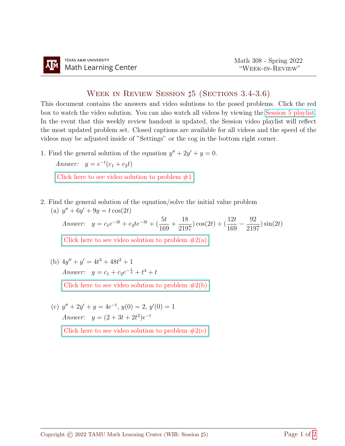## Week in Review Session ♯5 (Sections 3.4-3.6)

This document contains the answers and video solutions to the posed problems. Click the red box to watch the video solution. You can also watch all videos by viewing the [Session 5 playlist.](https://www.youtube.com/playlist?list=PLwFg2cC3rFdneCHReALwToYTvxRj0ag0g) In the event that this weekly review handout is updated, the Session video playlist will reflect the most updated problem set. Closed captions are available for all videos and the speed of the videos may be adjusted inside of "Settings" or the cog in the bottom right corner.

1. Find the general solution of the equation  $y'' + 2y' + y = 0$ .

Answer:  $y = e^{-t}(c_1 + c_2t)$ 

Click here to see video solution to problem  $#1$ 

2. Find the general solution of the equation/solve the initial value problem (a)  $y'' + 6y' + 9y = t \cos(2t)$ 

Answer:  $y = c_1 e^{-3t} + c_2 t e^{-3t} + (\frac{5t}{169})$  $+$ 18 2197  $\cos(2t) + (\frac{12t}{120})$ 169  $-\frac{92}{010}$ 2197  $\sin(2t)$ Click here to see video solution to problem  $#2(a)$ 

(b)  $4y'' + y' = 4t^3 + 48t^2 + 1$ Answer:  $y = c_1 + c_2 e^{-\frac{t}{4}} + t^4 + t$ 

Click here to see video solution to problem  $#2(b)$ 

(c)  $y'' + 2y' + y = 4e^{-t}, y(0) = 2, y'(0) = 1$ Answer:  $y = (2 + 3t + 2t^2)e^{-t}$ 

Click here to see video solution to problem  $#2(c)$